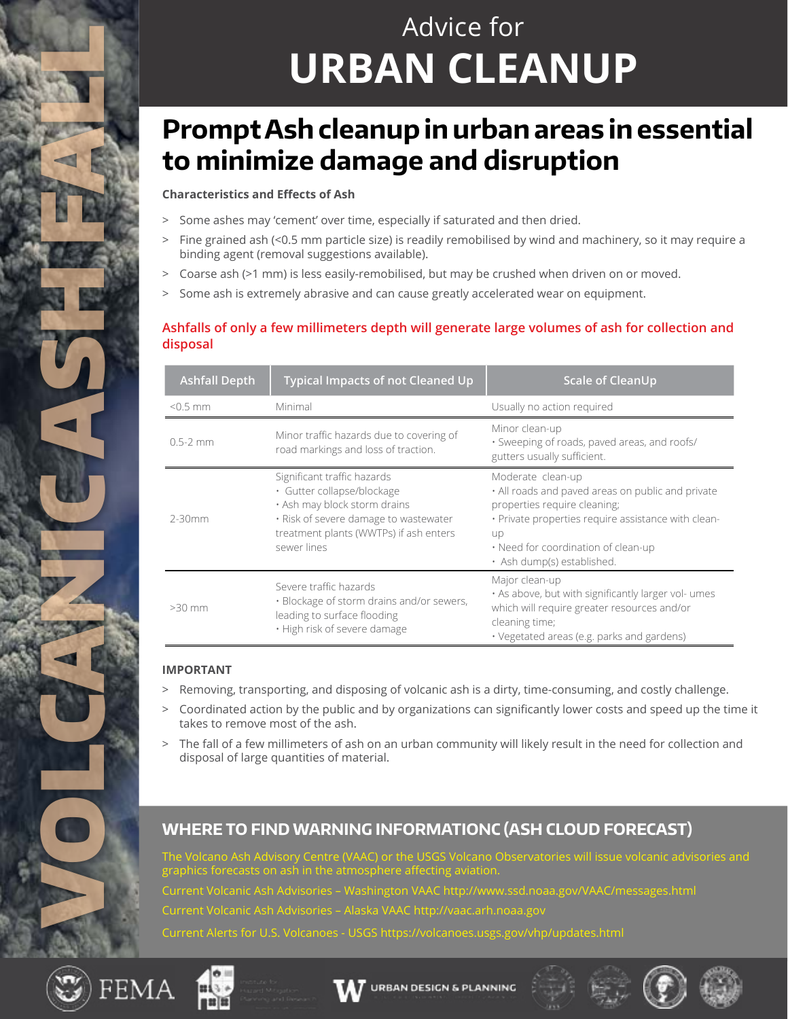# Advice for **URBAN CLEANUP**

# **Prompt Ash cleanup in urban areas in essential to minimize damage and disruption**

#### **Characteristics and Effects of Ash**

- > Some ashes may 'cement' over time, especially if saturated and then dried.
- > Fine grained ash (<0.5 mm particle size) is readily remobilised by wind and machinery, so it may require a binding agent (removal suggestions available).
- > Coarse ash (>1 mm) is less easily-remobilised, but may be crushed when driven on or moved.
- > Some ash is extremely abrasive and can cause greatly accelerated wear on equipment.

### **Ashfalls of only a few millimeters depth will generate large volumes of ash for collection and disposal**

| <b>Ashfall Depth</b> | <b>Typical Impacts of not Cleaned Up</b>                                                                                                                                                    | <b>Scale of CleanUp</b>                                                                                                                                                                                                                  |
|----------------------|---------------------------------------------------------------------------------------------------------------------------------------------------------------------------------------------|------------------------------------------------------------------------------------------------------------------------------------------------------------------------------------------------------------------------------------------|
| $< 0.5$ mm           | Minimal                                                                                                                                                                                     | Usually no action required                                                                                                                                                                                                               |
| $0.5 - 2$ mm         | Minor traffic hazards due to covering of<br>road markings and loss of traction.                                                                                                             | Minor clean-up<br>· Sweeping of roads, paved areas, and roofs/<br>gutters usually sufficient.                                                                                                                                            |
| $2 - 30$ mm          | Significant traffic hazards<br>· Gutter collapse/blockage<br>. Ash may block storm drains<br>· Risk of severe damage to wastewater<br>treatment plants (WWTPs) if ash enters<br>sewer lines | Moderate clean-up<br>. All roads and paved areas on public and private<br>properties require cleaning;<br>· Private properties require assistance with clean-<br>up<br>• Need for coordination of clean-up<br>· Ash dump(s) established. |
| $>30$ mm             | Severe traffic hazards<br>· Blockage of storm drains and/or sewers,<br>leading to surface flooding<br>· High risk of severe damage                                                          | Major clean-up<br>. As above, but with significantly larger vol- umes<br>which will require greater resources and/or<br>cleaning time;<br>• Vegetated areas (e.g. parks and gardens)                                                     |

#### **IMPORTANT**

- > Removing, transporting, and disposing of volcanic ash is a dirty, time-consuming, and costly challenge.
- > Coordinated action by the public and by organizations can significantly lower costs and speed up the time it takes to remove most of the ash.
- The fall of a few millimeters of ash on an urban community will likely result in the need for collection and disposal of large quantities of material.

### **WHERE TO FIND WARNING INFORMATIONC (ASH CLOUD FORECAST)**

. Volcano Ash Advisory Centre (VAAC) or the USGS Volcano Observatories will issue volcanic advisories and graphics forecasts on ash in the atmosphere affecting aviation. Current Volcanic Ash Advisories – Washington VAAC http://www.ssd.noaa.gov/VAAC/messages.html Current Volcanic Ash Advisories – Alaska VAAC http://vaac.arh.noaa.gov Current Alerts for U.S. Volcanoes - USGS https://volcanoes.usgs.gov/vhp/updates.html



VOLCANICASH FAN 2